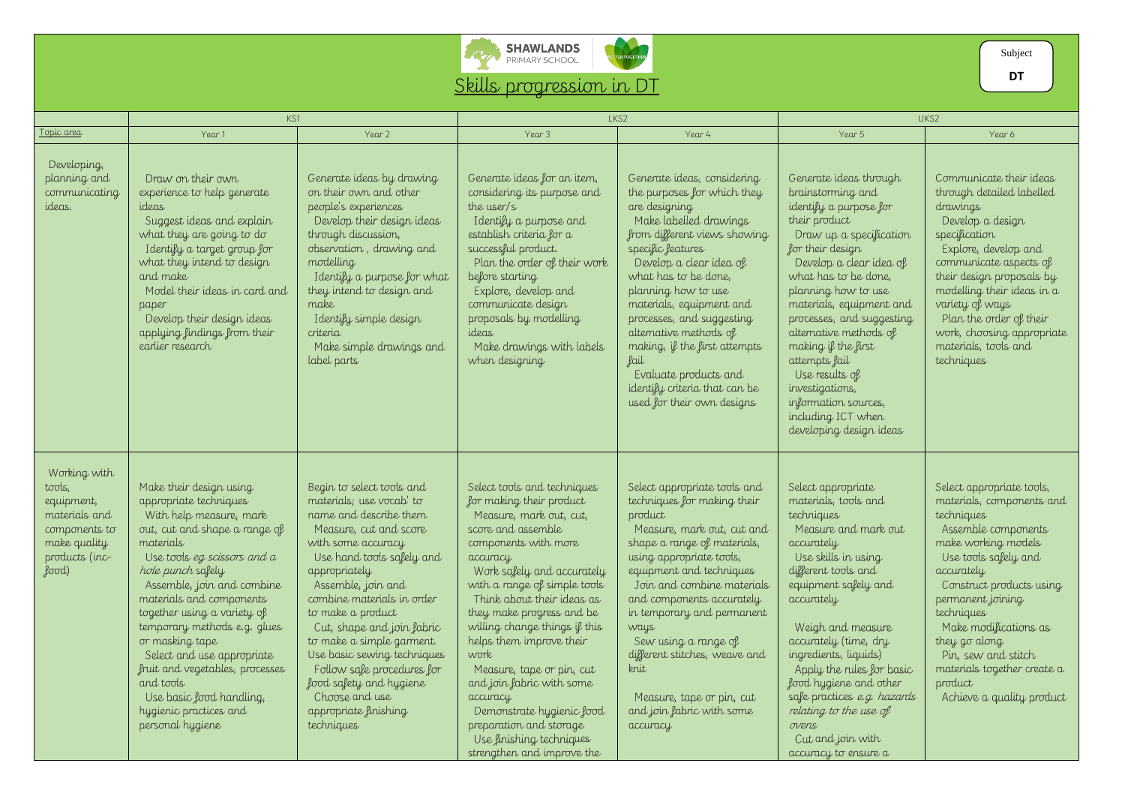

## Skills progression in DT

ER TOGETHER

|                                                                                                                                 | KS1                                                                                                                                                                                                                                                                                                                                                                                                                                                                                  |                                                                                                                                                                                                                                                                                                                                                                                                                                                                    | LKS2                                                                                                                                                                                                                                                                                                                                                                                                                                                                                                                               |                                                                                                                                                                                                                                                                                                                                                                                                                                                                 | UKS2                                                                                                                                                                                                                                                                                                                                                                                                                                                     |                                                                                                                                                                                                                                                                                                                                                                 |
|---------------------------------------------------------------------------------------------------------------------------------|--------------------------------------------------------------------------------------------------------------------------------------------------------------------------------------------------------------------------------------------------------------------------------------------------------------------------------------------------------------------------------------------------------------------------------------------------------------------------------------|--------------------------------------------------------------------------------------------------------------------------------------------------------------------------------------------------------------------------------------------------------------------------------------------------------------------------------------------------------------------------------------------------------------------------------------------------------------------|------------------------------------------------------------------------------------------------------------------------------------------------------------------------------------------------------------------------------------------------------------------------------------------------------------------------------------------------------------------------------------------------------------------------------------------------------------------------------------------------------------------------------------|-----------------------------------------------------------------------------------------------------------------------------------------------------------------------------------------------------------------------------------------------------------------------------------------------------------------------------------------------------------------------------------------------------------------------------------------------------------------|----------------------------------------------------------------------------------------------------------------------------------------------------------------------------------------------------------------------------------------------------------------------------------------------------------------------------------------------------------------------------------------------------------------------------------------------------------|-----------------------------------------------------------------------------------------------------------------------------------------------------------------------------------------------------------------------------------------------------------------------------------------------------------------------------------------------------------------|
| Topic area                                                                                                                      | Year 1                                                                                                                                                                                                                                                                                                                                                                                                                                                                               | Year 2                                                                                                                                                                                                                                                                                                                                                                                                                                                             | Year 3                                                                                                                                                                                                                                                                                                                                                                                                                                                                                                                             | Year 4                                                                                                                                                                                                                                                                                                                                                                                                                                                          | Year 5                                                                                                                                                                                                                                                                                                                                                                                                                                                   | Year 6                                                                                                                                                                                                                                                                                                                                                          |
| Developing,<br>planning and<br>communicating<br>ideas.                                                                          | Draw on their own<br>experience to help generate<br>ideas<br>Suggest ideas and explain<br>what they are going to do<br>Identify a target group for<br>what they intend to design<br>and make<br>Model their ideas in card and<br>paper<br>Develop their design ideas<br>applying findings from their<br>earlier research                                                                                                                                                             | Generate ideas by drawing<br>on their own and other<br>people's experiences<br>Develop their design ideas<br>through discussion,<br>observation, drawing and<br>modelling<br>I dentify a purpose for what<br>they intend to design and<br>make<br>I dentify simple design<br>criteria<br>Make simple drawings and<br>label parts                                                                                                                                   | Generate ideas for an item,<br>considering its purpose and<br>the user/s<br>Identify a purpose and<br>establish criteria for a<br>successful product.<br>Plan the order of their work<br>before starting<br>Explore, develop and<br>communicate design<br>proposals by modelling<br>ideas<br>Make drawings with labels<br>when designing                                                                                                                                                                                           | Generate ideas, considering<br>the purposes for which they<br>are designing<br>Make labelled drawings<br>from different views showing<br>specific features<br>Develop a clear idea of<br>what has to be done,<br>planning how to use<br>materials, equipment and<br>processes, and suggesting<br>alternative methods of<br>making, if the first attempts<br><b>Lail</b><br>Evaluate products and<br>identify criteria that can be<br>used for their own designs | Generate ideas through<br>brainstorming and<br>identify a purpose for<br>their product<br>Draw up a specification<br>for their design<br>Develop a clear idea of<br>what has to be done,<br>planning how to use<br>materials, equipment and<br>processes, and suggesting<br>alternative methods of<br>making if the first<br>attempts fail<br>Use results of<br>investigations,<br>information sources,<br>including ICT when<br>developing design ideas | Communicate their ideas<br>through detailed labelled<br>drawings<br>Develop a design<br>specification<br>Explore, develop and<br>communicate aspects of<br>their design proposals by<br>modelling their ideas in a<br>variety of ways<br>Plan the order of their<br>work, choosing appropriate<br>materials, tools and<br>techniques                            |
| Working with<br>tools,<br>equipment,<br>materials and<br>components to<br>make quality<br>products (inc-<br>$\pmb{\text{good}}$ | Make their design using<br>appropriate techniques<br>With help measure, mark<br>out, cut and shape a range of<br>materials<br>Use tools eg scissors and $a$<br>hole punch safely<br>Assemble, join and combine<br>materials and components<br>together using a variety of<br>temporary methods e.g. glues<br>or masking tape<br>Select and use appropriate<br>fruit and vegetables, processes<br>and tools<br>Use basic food handling,<br>hygienic practices and<br>personal hygiene | Begin to select tools and<br>materials; use vocab' to<br>name and describe them<br>Measure, cut and score<br>with some accuracy<br>Use hand tools safely and<br>appropriately<br>Assemble, join and<br>combine materials in order<br>to make a product<br>Cut, shape and join fabric<br>to make a simple garment.<br>Use basic sewing techniques<br>Follow safe procedures for<br>food safety and hygiene<br>Choose and use<br>appropriate finishing<br>techniques | Select tools and techniques<br>for making their product<br>Measure, mark out, cut,<br>score and assemble<br>components with more<br>accuracy<br>Work safely and accurately<br>with a range of simple tools<br>Think about their ideas as<br>they make progress and be<br>willing change things if this<br>helps them improve their<br>work<br>Measure, tape or pin, cut<br>and join fabric with some<br>accuracy<br>Demonstrate hygienic food<br>preparation and storage<br>Use finishing techniques<br>strengthen and improve the | Select appropriate tools and<br>techniques for making their<br>product<br>Measure, mark out, cut and<br>shape a range of materials,<br>using appropriate tools,<br>equipment and techniques<br>Join and combine materials<br>and components accurately<br>in temporary and permanent<br>ways<br>Sew using a range of<br>different stitches, weave and<br>knit<br>Measure, tape or pin, cut<br>and join fabric with some<br>accuracy                             | Select appropriate<br>materials, tools and<br>techniques<br>Measure and mark out<br>accurately<br>Use skills in using<br>different tools and<br>equipment safely and<br>accurately<br>Weigh and measure<br>accurately (time, dry<br>ingredients, liquids)<br>Apply the rules for basic<br>food hygiene and other<br>safe practices e.g. hazards<br>relating to the use of<br>ovens<br>Cut and join with<br>accuracy to ensure a                          | Select appropriate tools,<br>materials, components and<br>techniques<br>Assemble components<br>make working models<br>Use tools safely and<br>accurately<br>Construct products using<br>permanent joining<br>techniques<br>Make modifications as<br>they go along<br>Pin, sew and stitch<br>materials together create a<br>product<br>Achieve a quality product |

Subject

**DT**